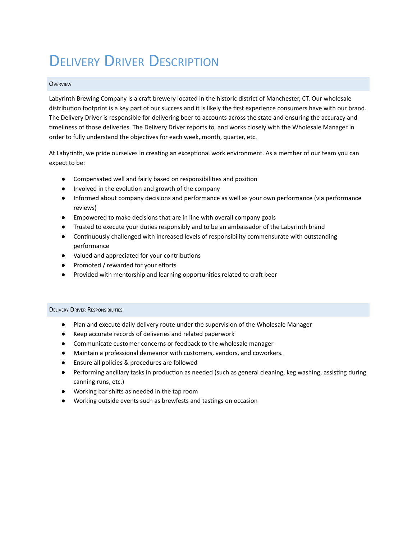# **DELIVERY DRIVER DESCRIPTION**

## **OVERVIEW**

Labyrinth Brewing Company is a craft brewery located in the historic district of Manchester, CT. Our wholesale distribution footprint is a key part of our success and it is likely the first experience consumers have with our brand. The Delivery Driver is responsible for delivering beer to accounts across the state and ensuring the accuracy and meliness of those deliveries. The Delivery Driver reports to, and works closely with the Wholesale Manager in order to fully understand the objectives for each week, month, quarter, etc.

At Labyrinth, we pride ourselves in creating an exceptional work environment. As a member of our team you can expect to be:

- Compensated well and fairly based on responsibilities and position
- Involved in the evolution and growth of the company
- Informed about company decisions and performance as well as your own performance (via performance reviews)
- Empowered to make decisions that are in line with overall company goals
- Trusted to execute your duties responsibly and to be an ambassador of the Labyrinth brand
- Continuously challenged with increased levels of responsibility commensurate with outstanding performance
- Valued and appreciated for your contributions
- Promoted / rewarded for your efforts
- Provided with mentorship and learning opportunities related to craft beer

## **DELIVERY DRIVER RESPONSIBILITIES**

- Plan and execute daily delivery route under the supervision of the Wholesale Manager
- Keep accurate records of deliveries and related paperwork
- Communicate customer concerns or feedback to the wholesale manager
- Maintain a professional demeanor with customers, vendors, and coworkers.
- Ensure all policies & procedures are followed
- Performing ancillary tasks in production as needed (such as general cleaning, keg washing, assisting during canning runs, etc.)
- Working bar shifts as needed in the tap room
- Working outside events such as brewfests and tastings on occasion